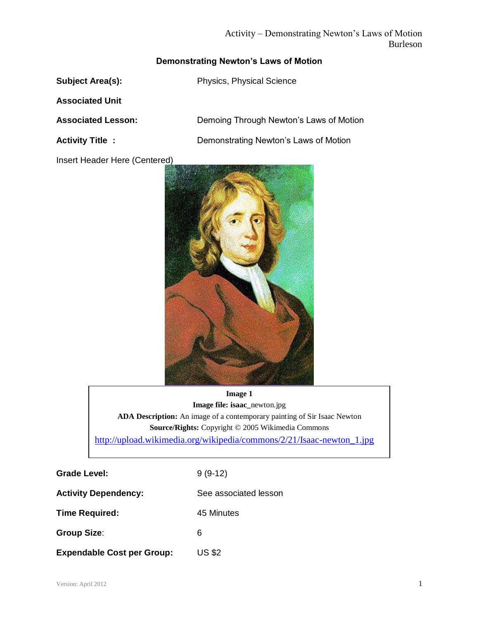# Activity – Demonstrating Newton's Laws of Motion Burleson

# **Demonstrating Newton's Laws of Motion**

**Subject Area(s):** Physics, Physical Science

**Associated Unit**

Insert Header Here (Centered)

**Associated Lesson:** Demoing Through Newton's Laws of Motion

**Activity Title : Demonstrating Newton's Laws of Motion** 



**Image 1 Image file: isaac\_**newton.jpg **ADA Description:** An image of a contemporary painting of Sir Isaac Newton **Source/Rights:** Copyright © 2005 Wikimedia Commons [http://upload.wikimedia.org/wikipedia/commons/2/21/Isaac-newton\\_1.jpg](http://upload.wikimedia.org/wikipedia/commons/2/21/Isaac-newton_1.jpg)

**Caption:** None

Grade Level: 9 (9-12) Activity Dependency: See associated lesson **Time Required:** 45 Minutes **Group Size**: 6 **Expendable Cost per Group:** US \$2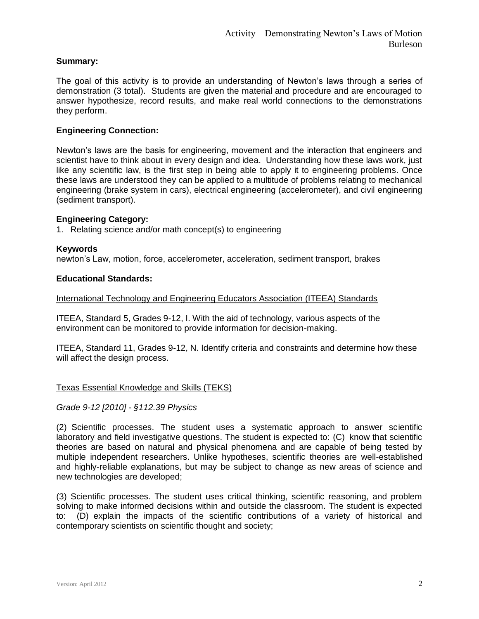## **Summary:**

The goal of this activity is to provide an understanding of Newton's laws through a series of demonstration (3 total). Students are given the material and procedure and are encouraged to answer hypothesize, record results, and make real world connections to the demonstrations they perform.

# **Engineering Connection:**

Newton's laws are the basis for engineering, movement and the interaction that engineers and scientist have to think about in every design and idea. Understanding how these laws work, just like any scientific law, is the first step in being able to apply it to engineering problems. Once these laws are understood they can be applied to a multitude of problems relating to mechanical engineering (brake system in cars), electrical engineering (accelerometer), and civil engineering (sediment transport).

## **Engineering Category:**

1. Relating science and/or math concept(s) to engineering

#### **Keywords**

newton's Law, motion, force, accelerometer, acceleration, sediment transport, brakes

#### **Educational Standards:**

International Technology and Engineering Educators Association (ITEEA) Standards

ITEEA, Standard 5, Grades 9-12, I. With the aid of technology, various aspects of the environment can be monitored to provide information for decision-making.

ITEEA, Standard 11, Grades 9-12, N. Identify criteria and constraints and determine how these will affect the design process.

#### Texas Essential Knowledge and Skills (TEKS)

*Grade 9-12 [2010] - §112.39 Physics*

(2) Scientific processes. The student uses a systematic approach to answer scientific laboratory and field investigative questions. The student is expected to: (C) know that scientific theories are based on natural and physical phenomena and are capable of being tested by multiple independent researchers. Unlike hypotheses, scientific theories are well-established and highly-reliable explanations, but may be subject to change as new areas of science and new technologies are developed;

(3) Scientific processes. The student uses critical thinking, scientific reasoning, and problem solving to make informed decisions within and outside the classroom. The student is expected to: (D) explain the impacts of the scientific contributions of a variety of historical and contemporary scientists on scientific thought and society;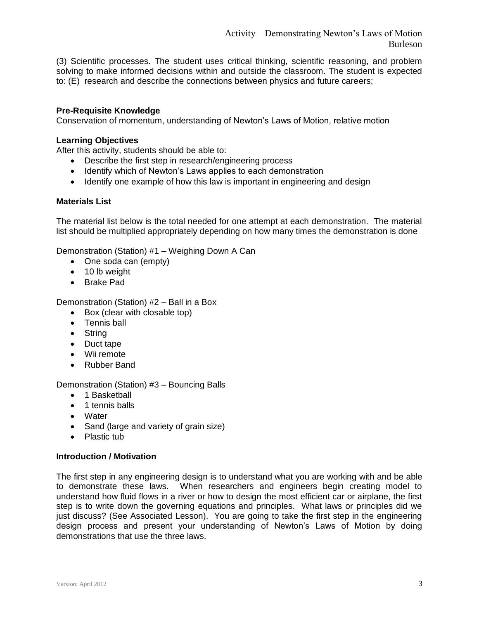(3) Scientific processes. The student uses critical thinking, scientific reasoning, and problem solving to make informed decisions within and outside the classroom. The student is expected to: (E) research and describe the connections between physics and future careers;

#### **Pre-Requisite Knowledge**

Conservation of momentum, understanding of Newton's Laws of Motion, relative motion

#### **Learning Objectives**

After this activity, students should be able to:

- Describe the first step in research/engineering process
- Identify which of Newton's Laws applies to each demonstration
- Identify one example of how this law is important in engineering and design

#### **Materials List**

The material list below is the total needed for one attempt at each demonstration. The material list should be multiplied appropriately depending on how many times the demonstration is done

Demonstration (Station) #1 – Weighing Down A Can

- One soda can (empty)
- 10 lb weight
- Brake Pad

Demonstration (Station) #2 – Ball in a Box

- Box (clear with closable top)
- Tennis ball
- String
- Duct tape
- Wii remote
- Rubber Band

Demonstration (Station) #3 – Bouncing Balls

- 1 Basketball
- 1 tennis balls
- Water
- Sand (large and variety of grain size)
- Plastic tub

#### **Introduction / Motivation**

The first step in any engineering design is to understand what you are working with and be able to demonstrate these laws. When researchers and engineers begin creating model to understand how fluid flows in a river or how to design the most efficient car or airplane, the first step is to write down the governing equations and principles. What laws or principles did we just discuss? (See Associated Lesson). You are going to take the first step in the engineering design process and present your understanding of Newton's Laws of Motion by doing demonstrations that use the three laws.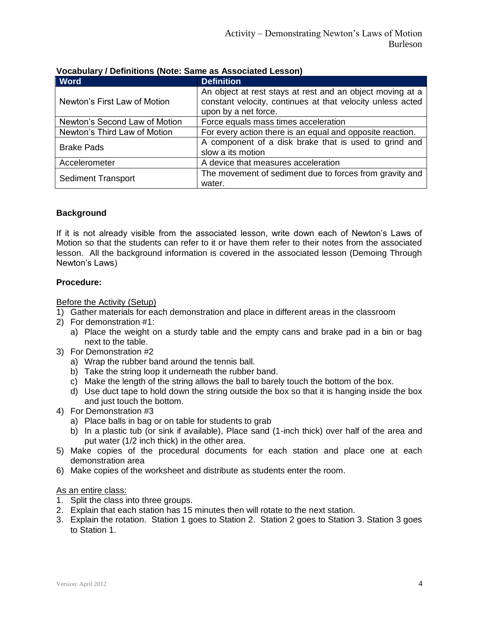| <b>Word</b>                   | <b>Definition</b>                                                                                                                               |
|-------------------------------|-------------------------------------------------------------------------------------------------------------------------------------------------|
| Newton's First Law of Motion  | An object at rest stays at rest and an object moving at a<br>constant velocity, continues at that velocity unless acted<br>upon by a net force. |
| Newton's Second Law of Motion | Force equals mass times acceleration                                                                                                            |
| Newton's Third Law of Motion  | For every action there is an equal and opposite reaction.                                                                                       |
| <b>Brake Pads</b>             | A component of a disk brake that is used to grind and<br>slow a its motion                                                                      |
| Accelerometer                 | A device that measures acceleration                                                                                                             |
| <b>Sediment Transport</b>     | The movement of sediment due to forces from gravity and<br>water.                                                                               |

# **Vocabulary / Definitions (Note: Same as Associated Lesson)**

## **Background**

If it is not already visible from the associated lesson, write down each of Newton's Laws of Motion so that the students can refer to it or have them refer to their notes from the associated lesson. All the background information is covered in the associated lesson (Demoing Through Newton's Laws)

## **Procedure:**

Before the Activity (Setup)

- 1) Gather materials for each demonstration and place in different areas in the classroom
- 2) For demonstration #1:
	- a) Place the weight on a sturdy table and the empty cans and brake pad in a bin or bag next to the table.
- 3) For Demonstration #2
	- a) Wrap the rubber band around the tennis ball.
	- b) Take the string loop it underneath the rubber band.
	- c) Make the length of the string allows the ball to barely touch the bottom of the box.
	- d) Use duct tape to hold down the string outside the box so that it is hanging inside the box and just touch the bottom.
- 4) For Demonstration #3
	- a) Place balls in bag or on table for students to grab
	- b) In a plastic tub (or sink if available), Place sand (1-inch thick) over half of the area and put water (1/2 inch thick) in the other area.
- 5) Make copies of the procedural documents for each station and place one at each demonstration area
- 6) Make copies of the worksheet and distribute as students enter the room.

# As an entire class:

- 1. Split the class into three groups.
- 2. Explain that each station has 15 minutes then will rotate to the next station.
- 3. Explain the rotation. Station 1 goes to Station 2. Station 2 goes to Station 3. Station 3 goes to Station 1.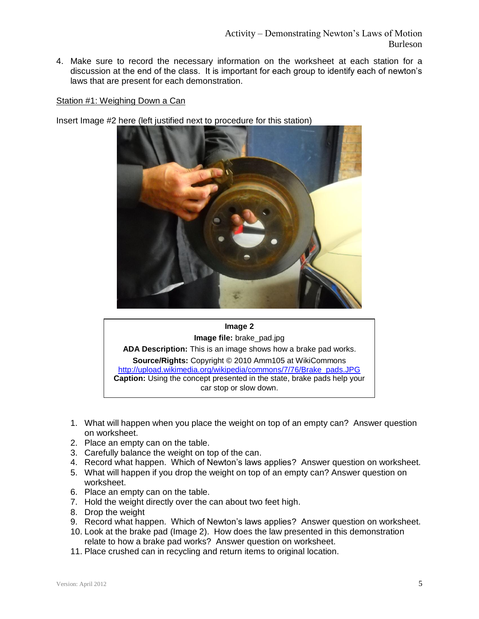4. Make sure to record the necessary information on the worksheet at each station for a discussion at the end of the class. It is important for each group to identify each of newton's laws that are present for each demonstration.

#### Station #1: Weighing Down a Can

Insert Image #2 here (left justified next to procedure for this station)





- 1. What will happen when you place the weight on top of an empty can? Answer question on worksheet.
- 2. Place an empty can on the table.
- 3. Carefully balance the weight on top of the can.
- 4. Record what happen. Which of Newton's laws applies? Answer question on worksheet.
- 5. What will happen if you drop the weight on top of an empty can? Answer question on worksheet.
- 6. Place an empty can on the table.
- 7. Hold the weight directly over the can about two feet high.
- 8. Drop the weight
- 9. Record what happen. Which of Newton's laws applies? Answer question on worksheet.
- 10. Look at the brake pad (Image 2). How does the law presented in this demonstration relate to how a brake pad works? Answer question on worksheet.
- 11. Place crushed can in recycling and return items to original location.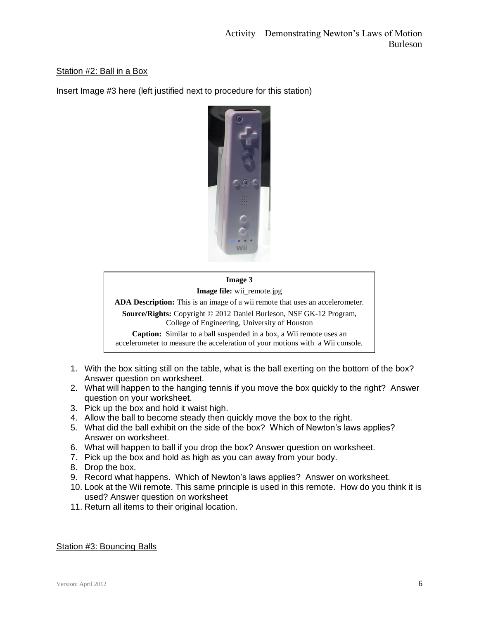# Station #2: Ball in a Box

Insert Image #3 here (left justified next to procedure for this station)



# **Image 3 Image file:** wii\_remote.jpg **ADA Description:** This is an image of a wii remote that uses an accelerometer. **Source/Rights:** Copyright © 2012 Daniel Burleson, NSF GK-12 Program, College of Engineering, University of Houston **Caption:** Similar to a ball suspended in a box, a Wii remote uses an accelerometer to measure the acceleration of your motions with a Wii console.

- 1. With the box sitting still on the table, what is the ball exerting on the bottom of the box? Answer question on worksheet.
- 2. What will happen to the hanging tennis if you move the box quickly to the right? Answer question on your worksheet.
- 3. Pick up the box and hold it waist high.
- 4. Allow the ball to become steady then quickly move the box to the right.
- 5. What did the ball exhibit on the side of the box? Which of Newton's laws applies? Answer on worksheet.
- 6. What will happen to ball if you drop the box? Answer question on worksheet.
- 7. Pick up the box and hold as high as you can away from your body.
- 8. Drop the box.
- 9. Record what happens. Which of Newton's laws applies? Answer on worksheet.
- 10. Look at the Wii remote. This same principle is used in this remote. How do you think it is used? Answer question on worksheet
- 11. Return all items to their original location.

## Station #3: Bouncing Balls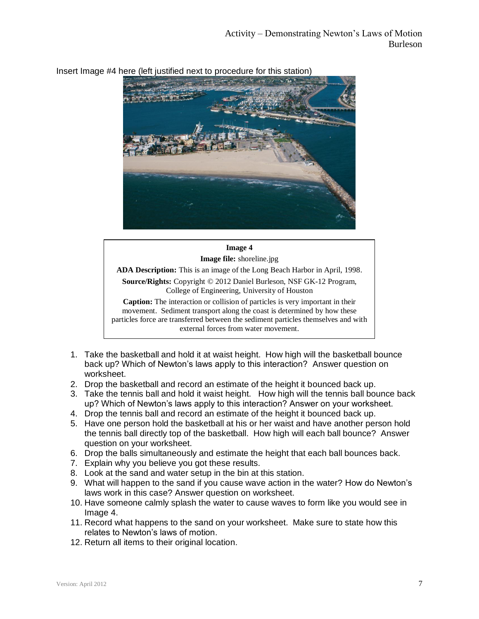

# Insert Image #4 here (left justified next to procedure for this station)

# **Image 4 Image file:** shoreline.jpg **ADA Description:** This is an image of the Long Beach Harbor in April, 1998. **Source/Rights:** Copyright © 2012 Daniel Burleson, NSF GK-12 Program, College of Engineering, University of Houston **Caption:** The interaction or collision of particles is very important in their movement. Sediment transport along the coast is determined by how these particles force are transferred between the sediment particles themselves and with external forces from water movement.

- 1. Take the basketball and hold it at waist height. How high will the basketball bounce back up? Which of Newton's laws apply to this interaction? Answer question on worksheet.
- 2. Drop the basketball and record an estimate of the height it bounced back up.
- 3. Take the tennis ball and hold it waist height. How high will the tennis ball bounce back up? Which of Newton's laws apply to this interaction? Answer on your worksheet.
- 4. Drop the tennis ball and record an estimate of the height it bounced back up.
- 5. Have one person hold the basketball at his or her waist and have another person hold the tennis ball directly top of the basketball. How high will each ball bounce? Answer question on your worksheet.
- 6. Drop the balls simultaneously and estimate the height that each ball bounces back.
- 7. Explain why you believe you got these results.
- 8. Look at the sand and water setup in the bin at this station.
- 9. What will happen to the sand if you cause wave action in the water? How do Newton's laws work in this case? Answer question on worksheet.
- 10. Have someone calmly splash the water to cause waves to form like you would see in Image 4.
- 11. Record what happens to the sand on your worksheet. Make sure to state how this relates to Newton's laws of motion.
- 12. Return all items to their original location.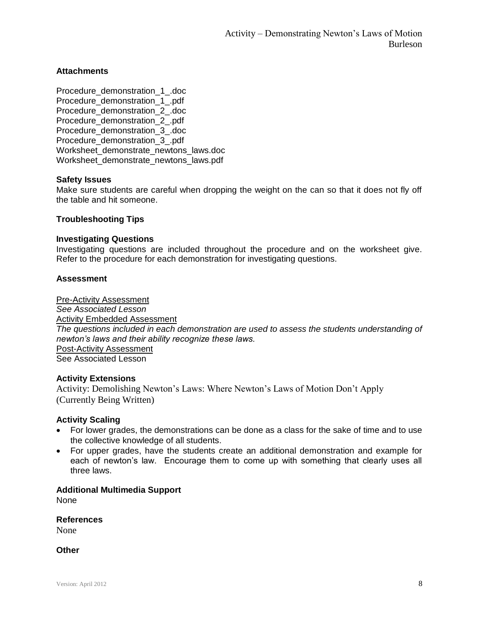## **Attachments**

Procedure\_demonstration\_1\_.doc Procedure\_demonstration\_1\_.pdf Procedure demonstration 2 .doc Procedure\_demonstration\_2\_.pdf Procedure demonstration 3 .doc Procedure\_demonstration\_3\_.pdf Worksheet demonstrate newtons laws.doc Worksheet demonstrate\_newtons\_laws.pdf

#### **Safety Issues**

Make sure students are careful when dropping the weight on the can so that it does not fly off the table and hit someone.

#### **Troubleshooting Tips**

#### **Investigating Questions**

Investigating questions are included throughout the procedure and on the worksheet give. Refer to the procedure for each demonstration for investigating questions.

#### **Assessment**

Pre-Activity Assessment *See Associated Lesson* Activity Embedded Assessment *The questions included in each demonstration are used to assess the students understanding of newton's laws and their ability recognize these laws.* Post-Activity Assessment See Associated Lesson

#### **Activity Extensions**

Activity: Demolishing Newton's Laws: Where Newton's Laws of Motion Don't Apply (Currently Being Written)

#### **Activity Scaling**

- For lower grades, the demonstrations can be done as a class for the sake of time and to use the collective knowledge of all students.
- For upper grades, have the students create an additional demonstration and example for each of newton's law. Encourage them to come up with something that clearly uses all three laws.

# **Additional Multimedia Support**

None

**References**

None

**Other**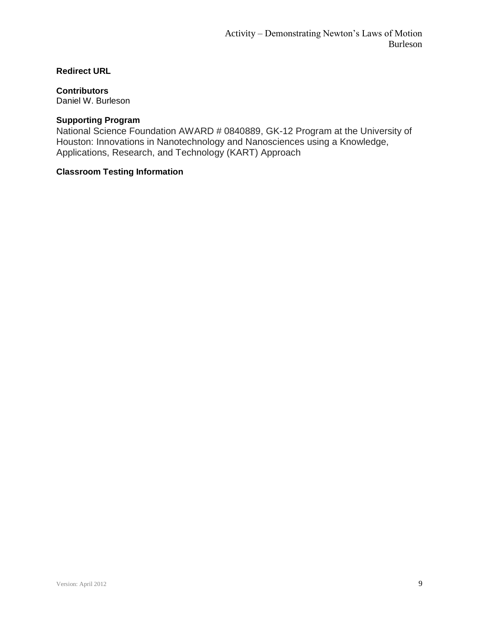# **Redirect URL**

# **Contributors**

Daniel W. Burleson

# **Supporting Program**

National Science Foundation AWARD # 0840889, GK-12 Program at the University of Houston: Innovations in Nanotechnology and Nanosciences using a Knowledge, Applications, Research, and Technology (KART) Approach

# **Classroom Testing Information**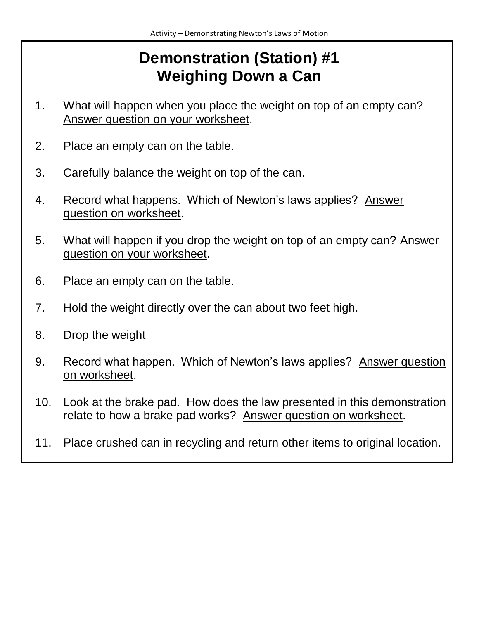# **Demonstration (Station) #1 Weighing Down a Can**

- 1. What will happen when you place the weight on top of an empty can? Answer question on your worksheet.
- 2. Place an empty can on the table.
- 3. Carefully balance the weight on top of the can.
- 4. Record what happens. Which of Newton's laws applies? Answer question on worksheet.
- 5. What will happen if you drop the weight on top of an empty can? Answer question on your worksheet.
- 6. Place an empty can on the table.
- 7. Hold the weight directly over the can about two feet high.
- 8. Drop the weight
- 9. Record what happen. Which of Newton's laws applies? Answer question on worksheet.
- 10. Look at the brake pad. How does the law presented in this demonstration relate to how a brake pad works? Answer question on worksheet.
- 11. Place crushed can in recycling and return other items to original location.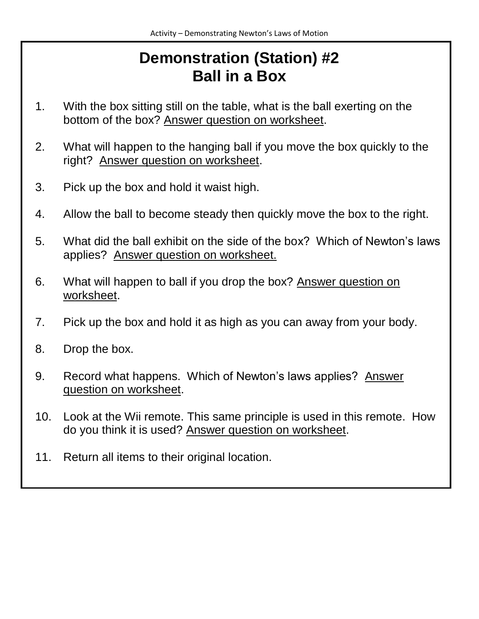# **Demonstration (Station) #2 Ball in a Box**

- 1. With the box sitting still on the table, what is the ball exerting on the bottom of the box? Answer question on worksheet.
- 2. What will happen to the hanging ball if you move the box quickly to the right? Answer question on worksheet.
- 3. Pick up the box and hold it waist high.
- 4. Allow the ball to become steady then quickly move the box to the right.
- 5. What did the ball exhibit on the side of the box? Which of Newton's laws applies? Answer question on worksheet.
- 6. What will happen to ball if you drop the box? Answer question on worksheet.
- 7. Pick up the box and hold it as high as you can away from your body.
- 8. Drop the box.
- 9. Record what happens. Which of Newton's laws applies? Answer question on worksheet.
- 10. Look at the Wii remote. This same principle is used in this remote. How do you think it is used? Answer question on worksheet.
- 11. Return all items to their original location.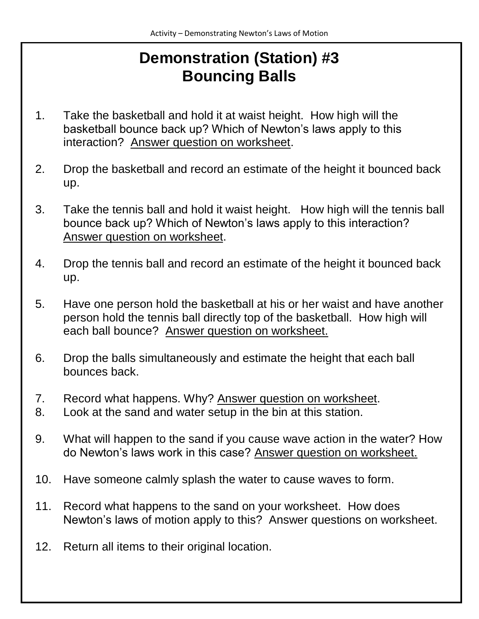# **Demonstration (Station) #3 Bouncing Balls**

- 1. Take the basketball and hold it at waist height. How high will the basketball bounce back up? Which of Newton's laws apply to this interaction? Answer question on worksheet.
- 2. Drop the basketball and record an estimate of the height it bounced back up.
- 3. Take the tennis ball and hold it waist height. How high will the tennis ball bounce back up? Which of Newton's laws apply to this interaction? Answer question on worksheet.
- 4. Drop the tennis ball and record an estimate of the height it bounced back up.
- 5. Have one person hold the basketball at his or her waist and have another person hold the tennis ball directly top of the basketball. How high will each ball bounce? Answer question on worksheet.
- 6. Drop the balls simultaneously and estimate the height that each ball bounces back.
- 7. Record what happens. Why? Answer question on worksheet.
- 8. Look at the sand and water setup in the bin at this station.
- 9. What will happen to the sand if you cause wave action in the water? How do Newton's laws work in this case? Answer question on worksheet.
- 10. Have someone calmly splash the water to cause waves to form.
- 11. Record what happens to the sand on your worksheet. How does Newton's laws of motion apply to this? Answer questions on worksheet.
- 12. Return all items to their original location.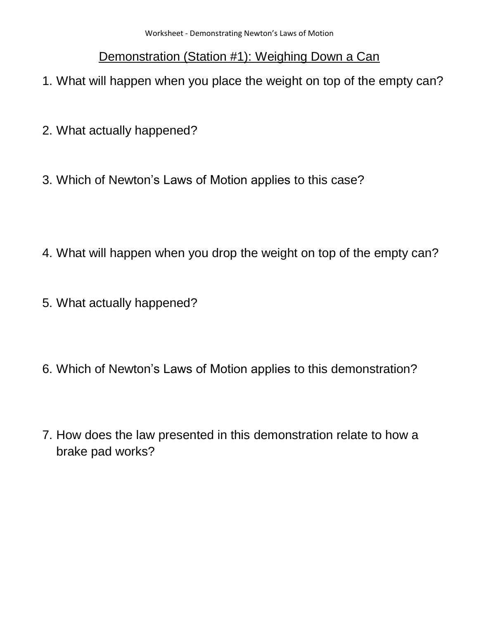# Demonstration (Station #1): Weighing Down a Can

- 1. What will happen when you place the weight on top of the empty can?
- 2. What actually happened?
- 3. Which of Newton's Laws of Motion applies to this case?
- 4. What will happen when you drop the weight on top of the empty can?
- 5. What actually happened?
- 6. Which of Newton's Laws of Motion applies to this demonstration?
- 7. How does the law presented in this demonstration relate to how a brake pad works?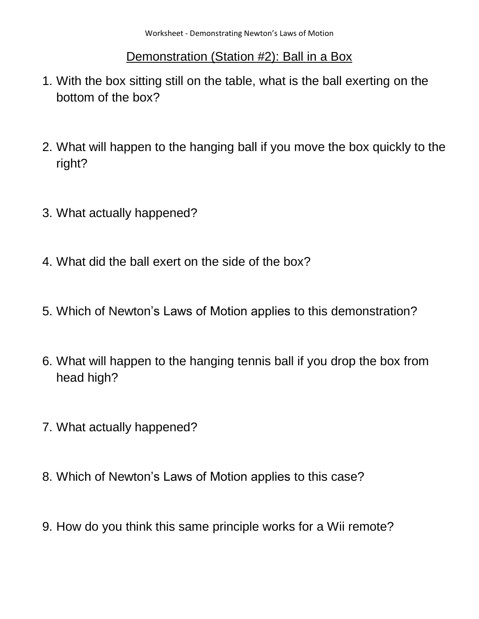# Demonstration (Station #2): Ball in a Box

- 1. With the box sitting still on the table, what is the ball exerting on the bottom of the box?
- 2. What will happen to the hanging ball if you move the box quickly to the right?
- 3. What actually happened?
- 4. What did the ball exert on the side of the box?
- 5. Which of Newton's Laws of Motion applies to this demonstration?
- 6. What will happen to the hanging tennis ball if you drop the box from head high?
- 7. What actually happened?
- 8. Which of Newton's Laws of Motion applies to this case?
- 9. How do you think this same principle works for a Wii remote?